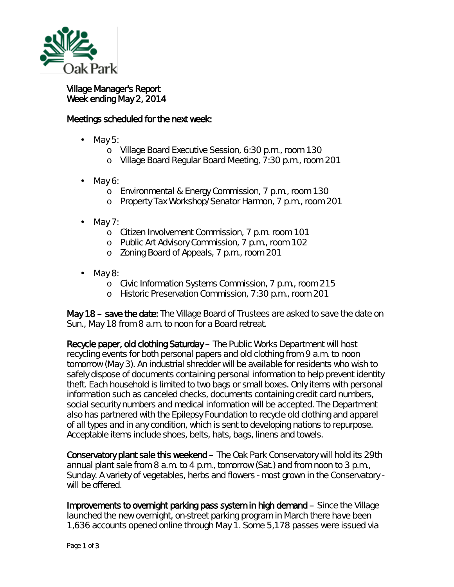

## Village Manager's Report Week ending May 2, 2014

## Meetings scheduled for the next week:

- May 5:
	- o Village Board Executive Session, 6:30 p.m., room 130
	- o Village Board Regular Board Meeting, 7:30 p.m., room 201
- May 6:
	- o Environmental & Energy Commission, 7 p.m., room 130
	- o Property Tax Workshop/Senator Harmon, 7 p.m., room 201
- May 7: ä,
	- o Citizen Involvement Commission, 7 p.m. room 101
	- o Public Art Advisory Commission, 7 p.m., room 102
	- o Zoning Board of Appeals, 7 p.m., room 201
- May 8:
	- o Civic Information Systems Commission, 7 p.m., room 215
	- o Historic Preservation Commission, 7:30 p.m., room 201

May 18 – save the date: The Village Board of Trustees are asked to save the date on Sun., May 18 from 8 a.m. to noon for a Board retreat.

Recycle paper, old clothing Saturday – The Public Works Department will host recycling events for both personal papers and old clothing from 9 a.m. to noon tomorrow (May 3). An industrial shredder will be available for residents who wish to safely dispose of documents containing personal information to help prevent identity theft. Each household is limited to two bags or small boxes. Only items with personal information such as canceled checks, documents containing credit card numbers, social security numbers and medical information will be accepted. The Department also has partnered with the Epilepsy Foundation to recycle old clothing and apparel of all types and in any condition, which is sent to developing nations to repurpose. Acceptable items include shoes, belts, hats, bags, linens and towels.

Conservatory plant sale this weekend – The Oak Park Conservatory will hold its 29th annual plant sale from 8 a.m. to 4 p.m., tomorrow (Sat.) and from noon to 3 p.m., Sunday. A variety of vegetables, herbs and flowers - most grown in the Conservatory will be offered.

Improvements to overnight parking pass system in high demand – Since the Village launched the new overnight, on-street parking program in March there have been 1,636 accounts opened online through May 1. Some 5,178 passes were issued via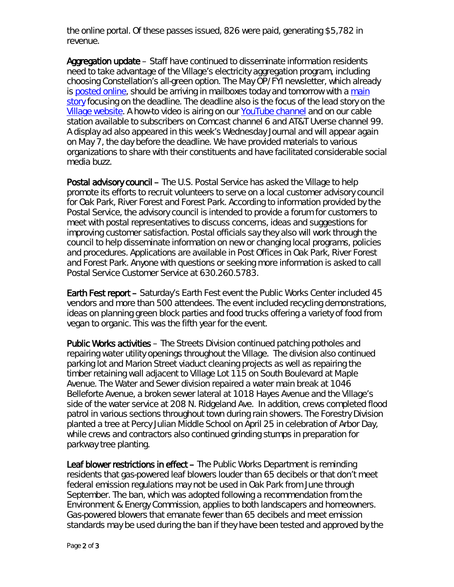the online portal. Of these passes issued, 826 were paid, generating \$5,782 in revenue.

Aggregation update – Staff have continued to disseminate information residents need to take advantage of the Village's electricity aggregation program, including choosing Constellation's all-green option. The May *OP/FYI* newsletter, which already is [posted online,](http://www.oak-park.us/newsletters/may-2014) should be arriving in mailboxes today and tomorrow with a [main](http://www.oak-park.us/sites/default/files/newsletters/pdf/MAY14%20FINAL.pdf)  [story](http://www.oak-park.us/sites/default/files/newsletters/pdf/MAY14%20FINAL.pdf) focusing on the deadline. The deadline also is the focus of the lead story on the [Village website.](http://www.oak-park.us/) A how-to video is airing on our [YouTube channel](http://www.youtube.com/user/vopnews) and on our cable station available to subscribers on Comcast channel 6 and AT&T Uverse channel 99. A display ad also appeared in this week's Wednesday Journal and will appear again on May 7, the day before the deadline. We have provided materials to various organizations to share with their constituents and have facilitated considerable social media buzz.

Postal advisory council – The U.S. Postal Service has asked the Village to help promote its efforts to recruit volunteers to serve on a local customer advisory council for Oak Park, River Forest and Forest Park. According to information provided by the Postal Service, the advisory council is intended to provide a forum for customers to meet with postal representatives to discuss concerns, ideas and suggestions for improving customer satisfaction. Postal officials say they also will work through the council to help disseminate information on new or changing local programs, policies and procedures. Applications are available in Post Offices in Oak Park, River Forest and Forest Park. Anyone with questions or seeking more information is asked to call Postal Service Customer Service at 630.260.5783.

Earth Fest report – Saturday's Earth Fest event the Public Works Center included 45 vendors and more than 500 attendees. The event included recycling demonstrations, ideas on planning green block parties and food trucks offering a variety of food from vegan to organic. This was the fifth year for the event.

Public Works activities – The Streets Division continued patching potholes and repairing water utility openings throughout the Village. The division also continued parking lot and Marion Street viaduct cleaning projects as well as repairing the timber retaining wall adjacent to Village Lot 115 on South Boulevard at Maple Avenue. The Water and Sewer division repaired a water main break at 1046 Belleforte Avenue, a broken sewer lateral at 1018 Hayes Avenue and the Village's side of the water service at 208 N. Ridgeland Ave. In addition, crews completed flood patrol in various sections throughout town during rain showers. The Forestry Division planted a tree at Percy Julian Middle School on April 25 in celebration of Arbor Day, while crews and contractors also continued grinding stumps in preparation for parkway tree planting.

Leaf blower restrictions in effect - The Public Works Department is reminding residents that gas-powered leaf blowers louder than 65 decibels or that don't meet federal emission regulations may not be used in Oak Park from June through September. The ban, which was adopted following a recommendation from the Environment & Energy Commission, applies to both landscapers and homeowners. Gas-powered blowers that emanate fewer than 65 decibels and meet emission standards may be used during the ban if they have been tested and approved by the